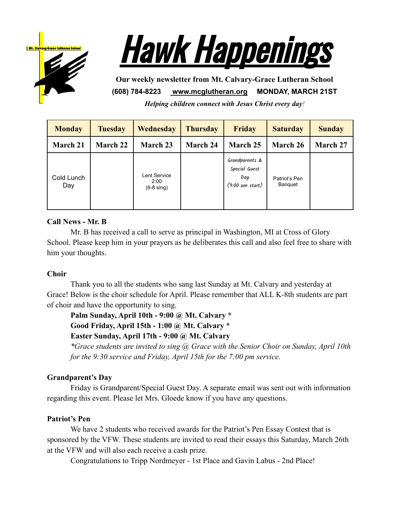



**Our weekly newsletter from Mt. Calvary-Grace Lutheran School (608) 784-8223 [www.mcglutheran.org](http://www.mcglutheran.org/) MONDAY, MARCH 21ST**

*Helping children connect with Jesus Christ every day!*

| <b>Monday</b>     | <b>Tuesday</b> | <b>Wednesday</b>                       | <b>Thursday</b> | <b>Friday</b>                                                       | <b>Saturday</b>          | <b>Sunday</b> |
|-------------------|----------------|----------------------------------------|-----------------|---------------------------------------------------------------------|--------------------------|---------------|
| March 21          | March 22       | <b>March 23</b>                        | <b>March 24</b> | March 25                                                            | March 26                 | March 27      |
| Cold Lunch<br>Day |                | Lent Service<br>2:00<br>$(6-8 \sin q)$ |                 | Grandparents &<br>Special Guest<br>Day<br>$(9:00 \text{ am start})$ | Patriot's Pen<br>Banquet |               |

# **Call News - Mr. B**

Mr. B has received a call to serve as principal in Washington, MI at Cross of Glory School. Please keep him in your prayers as he deliberates this call and also feel free to share with him your thoughts.

### **Choir**

Thank you to all the students who sang last Sunday at Mt. Calvary and yesterday at Grace! Below is the choir schedule for April. Please remember that ALL K-8th students are part of choir and have the opportunity to sing.

**Palm Sunday, April 10th - 9:00 @ Mt. Calvary \***

**Good Friday, April 15th - 1:00 @ Mt. Calvary \***

# **Easter Sunday, April 17th - 9:00 @ Mt. Calvary**

*\*Grace students are invited to sing @ Grace with the Senior Choir on Sunday, April 10th for the 9:30 service and Friday, April 15th for the 7:00 pm service.*

### **Grandparent's Day**

Friday is Grandparent/Special Guest Day. A separate email was sent out with information regarding this event. Please let Mrs. Gloede know if you have any questions.

### **Patriot's Pen**

We have 2 students who received awards for the Patriot's Pen Essay Contest that is sponsored by the VFW. These students are invited to read their essays this Saturday, March 26th at the VFW and will also each receive a cash prize.

Congratulations to Tripp Nordmeyer - 1st Place and Gavin Labus - 2nd Place!